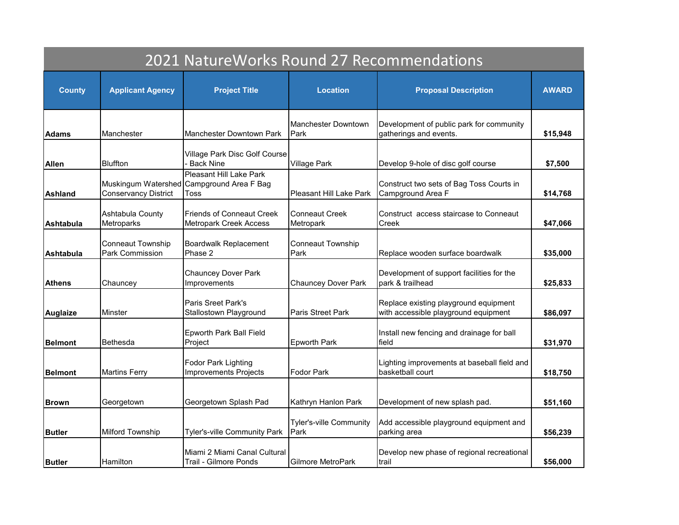| 2021 NatureWorks Round 27 Recommendations |                                             |                                                                              |                                        |                                                                               |              |  |  |
|-------------------------------------------|---------------------------------------------|------------------------------------------------------------------------------|----------------------------------------|-------------------------------------------------------------------------------|--------------|--|--|
| <b>County</b>                             | <b>Applicant Agency</b>                     | <b>Project Title</b>                                                         | <b>Location</b>                        | <b>Proposal Description</b>                                                   | <b>AWARD</b> |  |  |
| <b>Adams</b>                              | Manchester                                  | Manchester Downtown Park                                                     | <b>Manchester Downtown</b><br>Park     | Development of public park for community<br>gatherings and events.            | \$15,948     |  |  |
| <b>Allen</b>                              | <b>Bluffton</b>                             | Village Park Disc Golf Course<br><b>Back Nine</b>                            | <b>Village Park</b>                    | Develop 9-hole of disc golf course                                            | \$7,500      |  |  |
| <b>Ashland</b>                            | <b>Conservancy District</b>                 | Pleasant Hill Lake Park<br>Muskingum Watershed Campground Area F Bag<br>Toss | Pleasant Hill Lake Park                | Construct two sets of Bag Toss Courts in<br>Campground Area F                 | \$14,768     |  |  |
| Ashtabula                                 | Ashtabula County<br>Metroparks              | <b>Friends of Conneaut Creek</b><br><b>Metropark Creek Access</b>            | <b>Conneaut Creek</b><br>Metropark     | Construct access staircase to Conneaut<br>Creek                               | \$47,066     |  |  |
| <b>Ashtabula</b>                          | <b>Conneaut Township</b><br>Park Commission | <b>Boardwalk Replacement</b><br>Phase 2                                      | <b>Conneaut Township</b><br>Park       | Replace wooden surface boardwalk                                              | \$35,000     |  |  |
| Athens                                    | Chauncey                                    | <b>Chauncey Dover Park</b><br>Improvements                                   | <b>Chauncey Dover Park</b>             | Development of support facilities for the<br>park & trailhead                 | \$25,833     |  |  |
| <b>Auglaize</b>                           | <b>Minster</b>                              | Paris Sreet Park's<br>Stallostown Playground                                 | <b>Paris Street Park</b>               | Replace existing playground equipment<br>with accessible playground equipment | \$86,097     |  |  |
| <b>Belmont</b>                            | Bethesda                                    | Epworth Park Ball Field<br>Project                                           | <b>Epworth Park</b>                    | Install new fencing and drainage for ball<br>field                            | \$31,970     |  |  |
| <b>Belmont</b>                            | <b>Martins Ferry</b>                        | <b>Fodor Park Lighting</b><br>Improvements Projects                          | <b>Fodor Park</b>                      | Lighting improvements at baseball field and<br>basketball court               | \$18,750     |  |  |
| lBrown                                    | Georgetown                                  | Georgetown Splash Pad                                                        | Kathryn Hanlon Park                    | Development of new splash pad.                                                | \$51,160     |  |  |
| <b>Butler</b>                             | <b>Milford Township</b>                     | Tyler's-ville Community Park                                                 | <b>Tyler's-ville Community</b><br>Park | Add accessible playground equipment and<br>parking area                       | \$56,239     |  |  |
| <b>Butler</b>                             | Hamilton                                    | Miami 2 Miami Canal Cultural<br>Trail - Gilmore Ponds                        | Gilmore MetroPark                      | Develop new phase of regional recreational<br>trail                           | \$56,000     |  |  |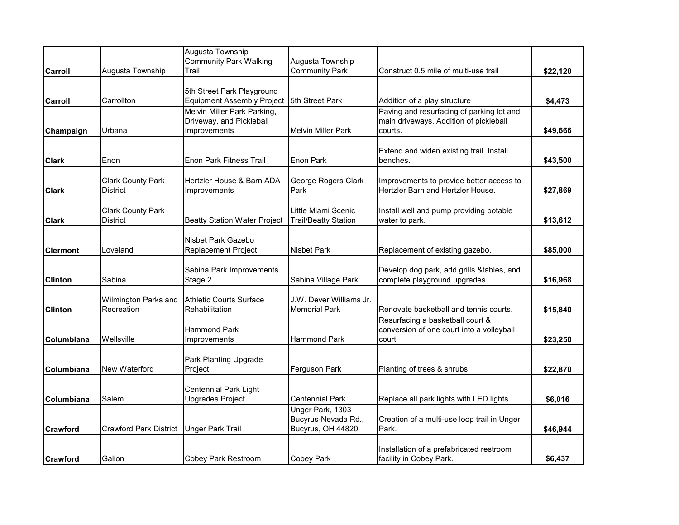|                 |                               | Augusta Township                    |                             |                                                      |          |
|-----------------|-------------------------------|-------------------------------------|-----------------------------|------------------------------------------------------|----------|
|                 |                               | <b>Community Park Walking</b>       | Augusta Township            |                                                      |          |
| Carroll         | Augusta Township              | Trail                               | <b>Community Park</b>       | Construct 0.5 mile of multi-use trail                | \$22,120 |
|                 |                               |                                     |                             |                                                      |          |
|                 |                               | 5th Street Park Playground          |                             |                                                      |          |
| Carroll         | Carrollton                    | <b>Equipment Assembly Project</b>   | 5th Street Park             | Addition of a play structure                         | \$4,473  |
|                 |                               | Melvin Miller Park Parking,         |                             | Paving and resurfacing of parking lot and            |          |
|                 |                               | Driveway, and Pickleball            |                             | main driveways. Addition of pickleball               |          |
| Champaign       | Urbana                        | Improvements                        | Melvin Miller Park          | courts.                                              | \$49,666 |
|                 |                               |                                     |                             |                                                      |          |
|                 | Enon                          | <b>Enon Park Fitness Trail</b>      | Enon Park                   | Extend and widen existing trail. Install<br>benches. |          |
| <b>Clark</b>    |                               |                                     |                             |                                                      | \$43,500 |
|                 | <b>Clark County Park</b>      | Hertzler House & Barn ADA           | George Rogers Clark         | Improvements to provide better access to             |          |
| <b>Clark</b>    | <b>District</b>               | Improvements                        | Park                        | Hertzler Barn and Hertzler House.                    | \$27,869 |
|                 |                               |                                     |                             |                                                      |          |
|                 | <b>Clark County Park</b>      |                                     | Little Miami Scenic         | Install well and pump providing potable              |          |
| <b>Clark</b>    | District                      | <b>Beatty Station Water Project</b> | <b>Trail/Beatty Station</b> | water to park.                                       | \$13,612 |
|                 |                               |                                     |                             |                                                      |          |
|                 |                               | Nisbet Park Gazebo                  |                             |                                                      |          |
| <b>Clermont</b> | Loveland                      | <b>Replacement Project</b>          | <b>Nisbet Park</b>          | Replacement of existing gazebo.                      | \$85,000 |
|                 |                               |                                     |                             |                                                      |          |
|                 |                               | Sabina Park Improvements            |                             | Develop dog park, add grills &tables, and            |          |
| <b>Clinton</b>  | Sabina                        | Stage 2                             | Sabina Village Park         | complete playground upgrades.                        | \$16,968 |
|                 |                               |                                     |                             |                                                      |          |
|                 | Wilmington Parks and          | <b>Athletic Courts Surface</b>      | J.W. Dever Williams Jr.     |                                                      |          |
| <b>Clinton</b>  | Recreation                    | Rehabilitation                      | <b>Memorial Park</b>        | Renovate basketball and tennis courts.               | \$15,840 |
|                 |                               |                                     |                             | Resurfacing a basketball court &                     |          |
|                 |                               | <b>Hammond Park</b>                 |                             | conversion of one court into a volleyball            |          |
| Columbiana      | Wellsville                    | Improvements                        | <b>Hammond Park</b>         | court                                                | \$23,250 |
|                 |                               |                                     |                             |                                                      |          |
|                 |                               | Park Planting Upgrade               |                             |                                                      |          |
| Columbiana      | New Waterford                 | Project                             | Ferguson Park               | Planting of trees & shrubs                           | \$22,870 |
|                 |                               |                                     |                             |                                                      |          |
|                 |                               | <b>Centennial Park Light</b>        |                             |                                                      |          |
| Columbiana      | Salem                         | Upgrades Project                    | <b>Centennial Park</b>      | Replace all park lights with LED lights              | \$6,016  |
|                 |                               |                                     | Unger Park, 1303            |                                                      |          |
|                 |                               |                                     | Bucyrus-Nevada Rd.,         | Creation of a multi-use loop trail in Unger          |          |
| <b>Crawford</b> | <b>Crawford Park District</b> | <b>Unger Park Trail</b>             | Bucyrus, OH 44820           | Park.                                                | \$46,944 |
|                 |                               |                                     |                             | Installation of a prefabricated restroom             |          |
| <b>Crawford</b> | Galion                        | <b>Cobey Park Restroom</b>          | <b>Cobey Park</b>           | facility in Cobey Park.                              | \$6,437  |
|                 |                               |                                     |                             |                                                      |          |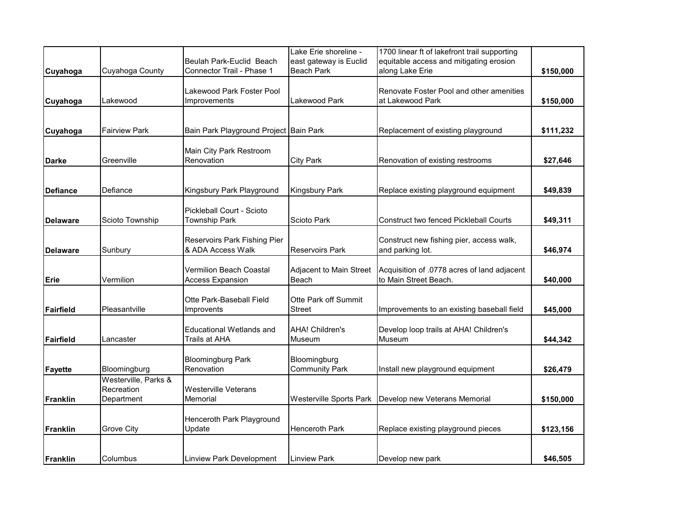|                  |                                    |                                         | Lake Erie shoreline -          | 1700 linear ft of lakefront trail supporting  |           |
|------------------|------------------------------------|-----------------------------------------|--------------------------------|-----------------------------------------------|-----------|
|                  |                                    | <b>I</b> Beulah Park-Euclid Beach       | east gateway is Euclid         | equitable access and mitigating erosion       |           |
| Cuyahoga         | Cuyahoga County                    | Connector Trail - Phase 1               | <b>Beach Park</b>              | along Lake Erie                               | \$150,000 |
|                  |                                    | Lakewood Park Foster Pool               |                                | Renovate Foster Pool and other amenities      |           |
| Cuyahoga         | Lakewood                           | Improvements                            | Lakewood Park                  | at Lakewood Park                              | \$150,000 |
|                  |                                    |                                         |                                |                                               |           |
|                  |                                    |                                         |                                |                                               |           |
| Cuyahoga         | <b>Fairview Park</b>               | Bain Park Playground Project Bain Park  |                                | Replacement of existing playground            | \$111,232 |
|                  |                                    | Main City Park Restroom                 |                                |                                               |           |
| <b>Darke</b>     | Greenville                         | Renovation                              | <b>City Park</b>               | Renovation of existing restrooms              | \$27,646  |
|                  |                                    |                                         |                                |                                               |           |
|                  |                                    |                                         |                                |                                               |           |
| <b>Defiance</b>  | Defiance                           | Kingsbury Park Playground               | <b>Kingsbury Park</b>          | Replace existing playground equipment         | \$49,839  |
|                  |                                    | Pickleball Court - Scioto               |                                |                                               |           |
| <b>Delaware</b>  | Scioto Township                    | <b>Township Park</b>                    | Scioto Park                    | <b>Construct two fenced Pickleball Courts</b> | \$49,311  |
|                  |                                    |                                         |                                |                                               |           |
|                  |                                    | <b>Reservoirs Park Fishing Pier</b>     |                                | Construct new fishing pier, access walk,      |           |
| <b>Delaware</b>  | Sunbury                            | & ADA Access Walk                       | <b>Reservoirs Park</b>         | and parking lot.                              | \$46,974  |
|                  |                                    | Vermilion Beach Coastal                 | Adjacent to Main Street        | Acquisition of .0778 acres of land adjacent   |           |
| Erie             | Vermilion                          | <b>Access Expansion</b>                 | Beach                          | to Main Street Beach.                         | \$40,000  |
|                  |                                    |                                         |                                |                                               |           |
|                  |                                    | Otte Park-Baseball Field                | Otte Park off Summit           |                                               |           |
| <b>Fairfield</b> | Pleasantville                      | Improvents                              | Street                         | Improvements to an existing baseball field    | \$45,000  |
|                  |                                    | <b>Educational Wetlands and</b>         | <b>AHA! Children's</b>         | Develop loop trails at AHA! Children's        |           |
| <b>Fairfield</b> | Lancaster                          | <b>Trails at AHA</b>                    | Museum                         | Museum                                        | \$44,342  |
|                  |                                    |                                         |                                |                                               |           |
|                  |                                    | <b>Bloomingburg Park</b>                | Bloomingburg                   |                                               |           |
| <b>Fayette</b>   | Bloomingburg                       | Renovation                              | <b>Community Park</b>          | Install new playground equipment              | \$26,479  |
|                  | Westerville, Parks &<br>Recreation |                                         |                                |                                               |           |
| <b>Franklin</b>  | Department                         | <b>Westerville Veterans</b><br>Memorial | <b>Westerville Sports Park</b> | Develop new Veterans Memorial                 | \$150,000 |
|                  |                                    |                                         |                                |                                               |           |
|                  |                                    | Henceroth Park Playground               |                                |                                               |           |
| <b>Franklin</b>  | <b>Grove City</b>                  | Update                                  | <b>Henceroth Park</b>          | Replace existing playground pieces            | \$123,156 |
|                  |                                    |                                         |                                |                                               |           |
|                  |                                    |                                         |                                |                                               |           |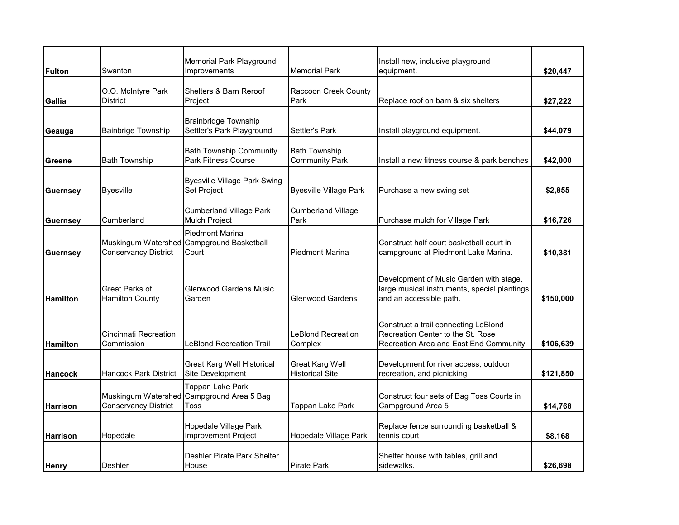| <b>Fulton</b>   | Swanton                                  | Memorial Park Playground<br>Improvements                                     | <b>Memorial Park</b>                          | Install new, inclusive playground<br>equipment.                                                                      | \$20,447  |
|-----------------|------------------------------------------|------------------------------------------------------------------------------|-----------------------------------------------|----------------------------------------------------------------------------------------------------------------------|-----------|
| Gallia          | O.O. McIntyre Park<br><b>District</b>    | Shelters & Barn Reroof<br>Project                                            | Raccoon Creek County<br>Park                  | Replace roof on barn & six shelters                                                                                  | \$27,222  |
| Geauga          | <b>Bainbrige Township</b>                | <b>Brainbridge Township</b><br>Settler's Park Playground                     | Settler's Park                                | Install playground equipment.                                                                                        | \$44,079  |
| <b>Greene</b>   | <b>Bath Township</b>                     | <b>Bath Township Community</b><br><b>Park Fitness Course</b>                 | <b>Bath Township</b><br><b>Community Park</b> | Install a new fitness course & park benches                                                                          | \$42,000  |
| <b>Guernsey</b> | <b>Byesville</b>                         | <b>Byesville Village Park Swing</b><br>Set Project                           | <b>Byesville Village Park</b>                 | Purchase a new swing set                                                                                             | \$2,855   |
| <b>Guernsey</b> | Cumberland                               | <b>Cumberland Village Park</b><br><b>Mulch Project</b>                       | <b>Cumberland Village</b><br>Park             | Purchase mulch for Village Park                                                                                      | \$16,726  |
| <b>Guernsey</b> | <b>Conservancy District</b>              | <b>Piedmont Marina</b><br>Muskingum Watershed Campground Basketball<br>Court | <b>Piedmont Marina</b>                        | Construct half court basketball court in<br>campground at Piedmont Lake Marina.                                      | \$10,381  |
| Hamilton        | Great Parks of<br><b>Hamilton County</b> | <b>Glenwood Gardens Music</b><br>Garden                                      | <b>Glenwood Gardens</b>                       | Development of Music Garden with stage,<br>large musical instruments, special plantings<br>and an accessible path.   | \$150,000 |
| <b>Hamilton</b> | Cincinnati Recreation<br>Commission      | <b>LeBlond Recreation Trail</b>                                              | <b>LeBlond Recreation</b><br>Complex          | Construct a trail connecting LeBlond<br>Recreation Center to the St. Rose<br>Recreation Area and East End Community. | \$106,639 |
| <b>Hancock</b>  | <b>Hancock Park District</b>             | <b>Great Karg Well Historical</b><br>Site Development                        | Great Karg Well<br><b>Historical Site</b>     | Development for river access, outdoor<br>recreation, and picnicking                                                  | \$121,850 |
| <b>Harrison</b> | <b>Conservancy District</b>              | Tappan Lake Park<br>Muskingum Watershed Campground Area 5 Bag<br>Toss        | <b>Tappan Lake Park</b>                       | Construct four sets of Bag Toss Courts in<br>Campground Area 5                                                       | \$14,768  |
| Harrison        | Hopedale                                 | Hopedale Village Park<br>Improvement Project                                 | Hopedale Village Park                         | Replace fence surrounding basketball &<br>tennis court                                                               | \$8,168   |
| <b>Henry</b>    | Deshler                                  | Deshler Pirate Park Shelter<br>House                                         | <b>Pirate Park</b>                            | Shelter house with tables, grill and<br>sidewalks.                                                                   | \$26,698  |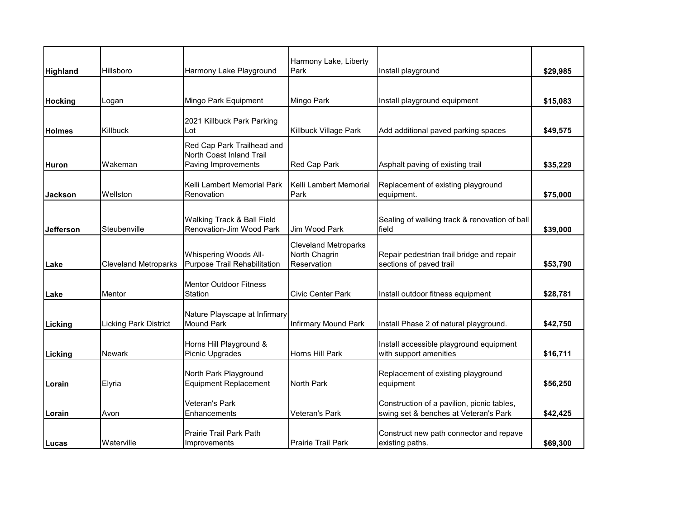|                  |                              |                                                                               | Harmony Lake, Liberty                                       |                                                                                     |          |
|------------------|------------------------------|-------------------------------------------------------------------------------|-------------------------------------------------------------|-------------------------------------------------------------------------------------|----------|
| Highland         | Hillsboro                    | Harmony Lake Playground                                                       | Park                                                        | Install playground                                                                  | \$29,985 |
|                  |                              |                                                                               |                                                             |                                                                                     |          |
| <b>Hocking</b>   | Logan                        | Mingo Park Equipment                                                          | Mingo Park                                                  | Install playground equipment                                                        | \$15,083 |
| <b>Holmes</b>    | Killbuck                     | 2021 Killbuck Park Parking<br>Lot                                             | Killbuck Village Park                                       | Add additional paved parking spaces                                                 | \$49,575 |
| Huron            | Wakeman                      | Red Cap Park Trailhead and<br>North Coast Inland Trail<br>Paving Improvements | Red Cap Park                                                | Asphalt paving of existing trail                                                    | \$35,229 |
| <b>Jackson</b>   | Wellston                     | Kelli Lambert Memorial Park<br>Renovation                                     | Kelli Lambert Memorial<br>Park                              | Replacement of existing playground<br>equipment.                                    | \$75,000 |
| <b>Jefferson</b> | Steubenville                 | Walking Track & Ball Field<br>Renovation-Jim Wood Park                        | Jim Wood Park                                               | Sealing of walking track & renovation of ball<br>field                              | \$39,000 |
| Lake             | <b>Cleveland Metroparks</b>  | <b>Whispering Woods All-</b><br>Purpose Trail Rehabilitation                  | <b>Cleveland Metroparks</b><br>North Chagrin<br>Reservation | Repair pedestrian trail bridge and repair<br>sections of paved trail                | \$53,790 |
| Lake             | Mentor                       | <b>Mentor Outdoor Fitness</b><br>Station                                      | <b>Civic Center Park</b>                                    | Install outdoor fitness equipment                                                   | \$28,781 |
| Licking          | <b>Licking Park District</b> | Nature Playscape at Infirmary<br><b>Mound Park</b>                            | <b>Infirmary Mound Park</b>                                 | Install Phase 2 of natural playground.                                              | \$42,750 |
| Licking          | Newark                       | Horns Hill Playground &<br>Picnic Upgrades                                    | Horns Hill Park                                             | Install accessible playground equipment<br>with support amenities                   | \$16,711 |
| Lorain           | Elyria                       | North Park Playground<br><b>Equipment Replacement</b>                         | North Park                                                  | Replacement of existing playground<br>equipment                                     | \$56,250 |
| Lorain           | Avon                         | Veteran's Park<br>Enhancements                                                | Veteran's Park                                              | Construction of a pavilion, picnic tables,<br>swing set & benches at Veteran's Park | \$42,425 |
| Lucas            | Waterville                   | Prairie Trail Park Path<br>Improvements                                       | <b>I</b> Prairie Trail Park                                 | Construct new path connector and repave<br>existing paths.                          | \$69,300 |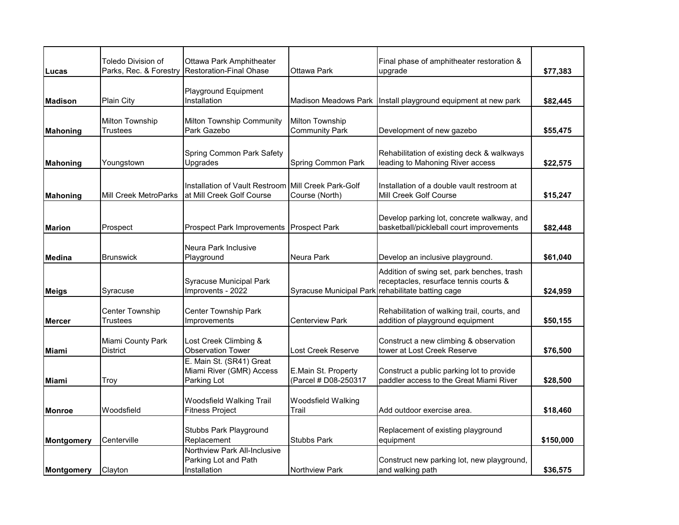| Lucas           | Toledo Division of<br>Parks, Rec. & Forestry | Ottawa Park Amphitheater<br><b>Restoration-Final Ohase</b>                       | Ottawa Park                                       | Final phase of amphitheater restoration &<br>upgrade                                   | \$77,383  |
|-----------------|----------------------------------------------|----------------------------------------------------------------------------------|---------------------------------------------------|----------------------------------------------------------------------------------------|-----------|
| <b>Madison</b>  | <b>Plain City</b>                            | Playground Equipment<br>Installation                                             |                                                   | Madison Meadows Park   Install playground equipment at new park                        | \$82,445  |
| <b>Mahoning</b> | <b>Milton Township</b><br>Trustees           | Milton Township Community<br>Park Gazebo                                         | Milton Township<br><b>Community Park</b>          | Development of new gazebo                                                              | \$55,475  |
| <b>Mahoning</b> | Youngstown                                   | Spring Common Park Safety<br>Upgrades                                            | Spring Common Park                                | Rehabilitation of existing deck & walkways<br>leading to Mahoning River access         | \$22,575  |
| <b>Mahoning</b> | <b>Mill Creek MetroParks</b>                 | Installation of Vault Restroom Mill Creek Park-Golf<br>at Mill Creek Golf Course | Course (North)                                    | Installation of a double vault restroom at<br>Mill Creek Golf Course                   | \$15,247  |
| <b>Marion</b>   | Prospect                                     | Prospect Park Improvements   Prospect Park                                       |                                                   | Develop parking lot, concrete walkway, and<br>basketball/pickleball court improvements | \$82,448  |
| <b>Medina</b>   | <b>Brunswick</b>                             | Neura Park Inclusive<br>Playground                                               | Neura Park                                        | Develop an inclusive playground.                                                       | \$61,040  |
| <b>Meigs</b>    | Syracuse                                     | <b>Syracuse Municipal Park</b><br>Improvents - 2022                              | Syracuse Municipal Park rehabilitate batting cage | Addition of swing set, park benches, trash<br>receptacles, resurface tennis courts &   | \$24,959  |
| <b>Mercer</b>   | Center Township<br>Trustees                  | <b>Center Township Park</b><br>Improvements                                      | Centerview Park                                   | Rehabilitation of walking trail, courts, and<br>addition of playground equipment       | \$50,155  |
| <b>Miami</b>    | Miami County Park<br><b>District</b>         | Lost Creek Climbing &<br><b>Observation Tower</b>                                | Lost Creek Reserve                                | Construct a new climbing & observation<br>tower at Lost Creek Reserve                  | \$76,500  |
| <b>Miami</b>    | Troy                                         | E. Main St. (SR41) Great<br>Miami River (GMR) Access<br>Parking Lot              | E.Main St. Property<br>(Parcel # D08-250317       | Construct a public parking lot to provide<br>paddler access to the Great Miami River   | \$28,500  |
| <b>Monroe</b>   | Woodsfield                                   | Woodsfield Walking Trail<br><b>Fitness Project</b>                               | Woodsfield Walking<br>Trail                       | Add outdoor exercise area.                                                             | \$18,460  |
| Montgomery      | Centerville                                  | Stubbs Park Playground<br>Replacement                                            | <b>Stubbs Park</b>                                | Replacement of existing playground<br>equipment                                        | \$150,000 |
| Montgomery      | Clayton                                      | Northview Park All-Inclusive<br>Parking Lot and Path<br>Installation             | <b>Northview Park</b>                             | Construct new parking lot, new playground,<br>and walking path                         | \$36,575  |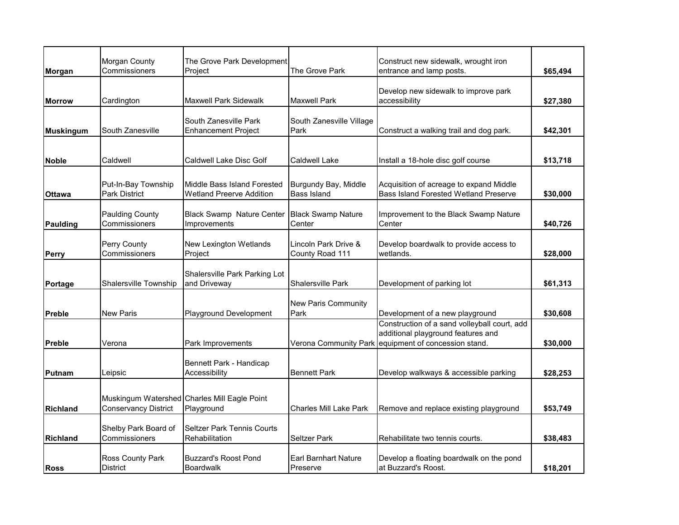| Morgan          | Morgan County<br>Commissioners              | The Grove Park Development<br>Project                          | The Grove Park                             | Construct new sidewalk, wrought iron<br>entrance and lamp posts.                                                     | \$65,494 |
|-----------------|---------------------------------------------|----------------------------------------------------------------|--------------------------------------------|----------------------------------------------------------------------------------------------------------------------|----------|
| <b>Morrow</b>   | Cardington                                  | Maxwell Park Sidewalk                                          | <b>Maxwell Park</b>                        | Develop new sidewalk to improve park<br>accessibility                                                                | \$27,380 |
| Muskingum       | South Zanesville                            | South Zanesville Park<br><b>Enhancement Project</b>            | South Zanesville Village<br>Park           | Construct a walking trail and dog park.                                                                              | \$42,301 |
| <b>Noble</b>    | Caldwell                                    | Caldwell Lake Disc Golf                                        | Caldwell Lake                              | Install a 18-hole disc golf course                                                                                   | \$13,718 |
| <b>Ottawa</b>   | Put-In-Bay Township<br><b>Park District</b> | Middle Bass Island Forested<br><b>Wetland Preerve Addition</b> | Burgundy Bay, Middle<br><b>Bass Island</b> | Acquisition of acreage to expand Middle<br><b>Bass Island Forested Wetland Preserve</b>                              | \$30,000 |
| <b>Paulding</b> | <b>Paulding County</b><br>Commissioners     | <b>Black Swamp Nature Center</b><br>Improvements               | <b>Black Swamp Nature</b><br>Center        | Improvement to the Black Swamp Nature<br>Center                                                                      | \$40,726 |
| Perry           | Perry County<br>Commissioners               | New Lexington Wetlands<br>Project                              | Lincoln Park Drive &<br>County Road 111    | Develop boardwalk to provide access to<br>wetlands.                                                                  | \$28,000 |
| Portage         | Shalersville Township                       | Shalersville Park Parking Lot<br>and Driveway                  | <b>Shalersville Park</b>                   | Development of parking lot                                                                                           | \$61,313 |
| Preble          | <b>New Paris</b>                            | Playground Development                                         | <b>New Paris Community</b><br>Park         | Development of a new playground                                                                                      | \$30,608 |
| <b>Preble</b>   | Verona                                      | Park Improvements                                              | Verona Community Park                      | Construction of a sand volleyball court, add<br>additional playground features and<br>equipment of concession stand. | \$30,000 |
| Putnam          | Leipsic                                     | Bennett Park - Handicap<br>Accessibility                       | <b>Bennett Park</b>                        | Develop walkways & accessible parking                                                                                | \$28,253 |
| <b>Richland</b> | <b>Conservancy District</b>                 | Muskingum Watershed Charles Mill Eagle Point<br>Playground     | Charles Mill Lake Park                     | Remove and replace existing playground                                                                               | \$53,749 |
| <b>Richland</b> | Shelby Park Board of<br>Commissioners       | Seltzer Park Tennis Courts<br>Rehabilitation                   | <b>Seltzer Park</b>                        | Rehabilitate two tennis courts.                                                                                      | \$38,483 |
| <b>Ross</b>     | Ross County Park<br><b>District</b>         | <b>Buzzard's Roost Pond</b><br>Boardwalk                       | <b>Earl Barnhart Nature</b><br>Preserve    | Develop a floating boardwalk on the pond<br>at Buzzard's Roost.                                                      | \$18,201 |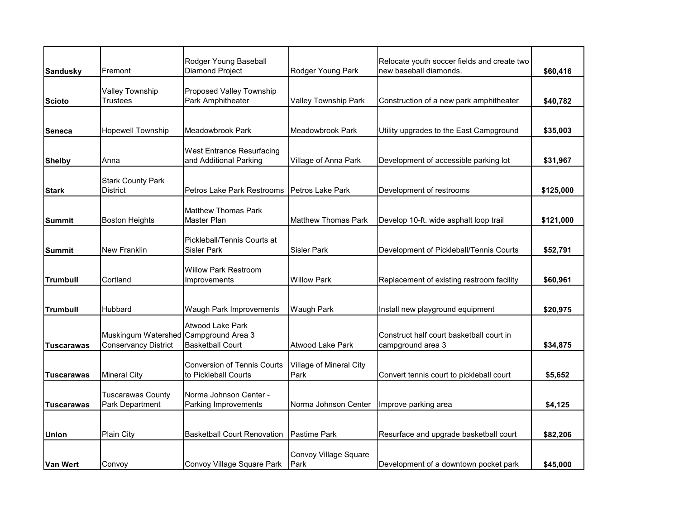| <b>Sandusky</b>   | Fremont                                                              | Rodger Young Baseball<br>Diamond Project                   | Rodger Young Park               | Relocate youth soccer fields and create two<br>new baseball diamonds. | \$60,416  |
|-------------------|----------------------------------------------------------------------|------------------------------------------------------------|---------------------------------|-----------------------------------------------------------------------|-----------|
| <b>Scioto</b>     | Valley Township<br><b>Trustees</b>                                   | Proposed Valley Township<br>Park Amphitheater              | Valley Township Park            | Construction of a new park amphitheater                               | \$40,782  |
| <b>Seneca</b>     | Hopewell Township                                                    | Meadowbrook Park                                           | Meadowbrook Park                | Utility upgrades to the East Campground                               | \$35,003  |
| <b>Shelby</b>     | Anna                                                                 | <b>West Entrance Resurfacing</b><br>and Additional Parking | Village of Anna Park            | Development of accessible parking lot                                 | \$31,967  |
| <b>Stark</b>      | <b>Stark County Park</b><br><b>District</b>                          | Petros Lake Park Restrooms                                 | <b>Petros Lake Park</b>         | Development of restrooms                                              | \$125,000 |
| Summit            | <b>Boston Heights</b>                                                | <b>Matthew Thomas Park</b><br><b>Master Plan</b>           | <b>Matthew Thomas Park</b>      | Develop 10-ft. wide asphalt loop trail                                | \$121,000 |
| Summit            | <b>New Franklin</b>                                                  | Pickleball/Tennis Courts at<br><b>Sisler Park</b>          | <b>Sisler Park</b>              | Development of Pickleball/Tennis Courts                               | \$52,791  |
| <b>Trumbull</b>   | Cortland                                                             | <b>Willow Park Restroom</b><br>Improvements                | <b>Willow Park</b>              | Replacement of existing restroom facility                             | \$60,961  |
| <b>Trumbull</b>   | Hubbard                                                              | Waugh Park Improvements                                    | Waugh Park                      | Install new playground equipment                                      | \$20,975  |
| <b>Tuscarawas</b> | Muskingum Watershed Campground Area 3<br><b>Conservancy District</b> | <b>Atwood Lake Park</b><br><b>Basketball Court</b>         | Atwood Lake Park                | Construct half court basketball court in<br>campground area 3         | \$34,875  |
| <b>Tuscarawas</b> | <b>Mineral City</b>                                                  | <b>Conversion of Tennis Courts</b><br>to Pickleball Courts | Village of Mineral City<br>Park | Convert tennis court to pickleball court                              | \$5,652   |
| Tuscarawas        | <b>Tuscarawas County</b><br>Park Department                          | Norma Johnson Center -<br>Parking Improvements             | Norma Johnson Center            | Improve parking area                                                  | \$4,125   |
| Union             | Plain City                                                           | <b>Basketball Court Renovation</b>                         | <b>Pastime Park</b>             | Resurface and upgrade basketball court                                | \$82,206  |
| Van Wert          | Convoy                                                               | Convoy Village Square Park                                 | Convoy Village Square<br>Park   | Development of a downtown pocket park                                 | \$45,000  |